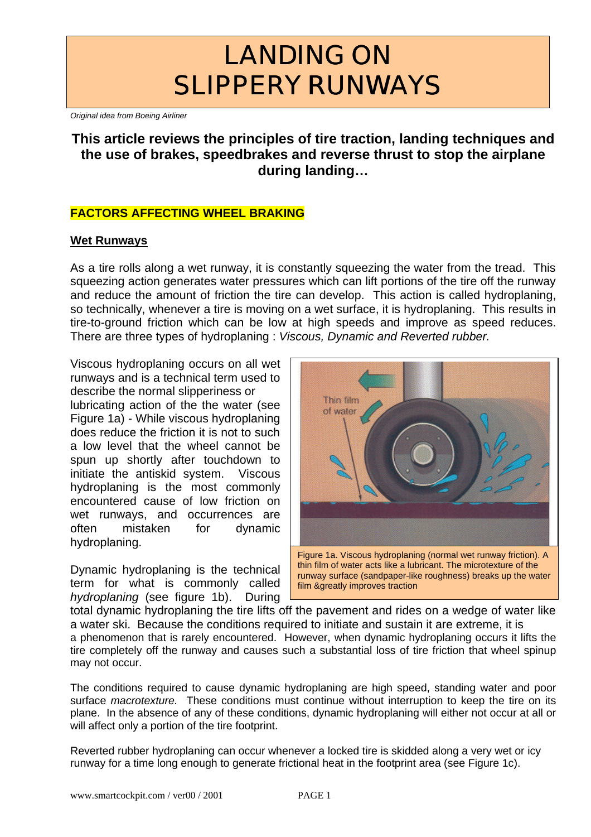# **LANDING ON SLIPPERY RUNWAYS**

*Original idea from Boeing Airliner*

## **This article reviews the principles of tire traction, landing techniques and the use of brakes, speedbrakes and reverse thrust to stop the airplane during landing…**

### **FACTORS AFFECTING WHEEL BRAKING**

#### **Wet Runways**

As a tire rolls along a wet runway, it is constantly squeezing the water from the tread. This squeezing action generates water pressures which can lift portions of the tire off the runway and reduce the amount of friction the tire can develop. This action is called hydroplaning, so technically, whenever a tire is moving on a wet surface, it is hydroplaning. This results in tire-to-ground friction which can be low at high speeds and improve as speed reduces. There are three types of hydroplaning : *Viscous, Dynamic and Reverted rubber.*

Viscous hydroplaning occurs on all wet runways and is a technical term used to describe the normal slipperiness or lubricating action of the the water (see Figure 1a) - While viscous hydroplaning does reduce the friction it is not to such a low level that the wheel cannot be spun up shortly after touchdown to initiate the antiskid system. Viscous hydroplaning is the most commonly encountered cause of low friction on wet runways, and occurrences are often mistaken for dynamic hydroplaning.

Dynamic hydroplaning is the technical term for what is commonly called *hydroplaning* (see figure 1b). During



total dynamic hydroplaning the tire lifts off the pavement and rides on a wedge of water like a water ski. Because the conditions required to initiate and sustain it are extreme, it is a phenomenon that is rarely encountered. However, when dynamic hydroplaning occurs it lifts the tire completely off the runway and causes such a substantial loss of tire friction that wheel spinup may not occur.

The conditions required to cause dynamic hydroplaning are high speed, standing water and poor surface *macrotexture.* These conditions must continue without interruption to keep the tire on its plane. In the absence of any of these conditions, dynamic hydroplaning will either not occur at all or will affect only a portion of the tire footprint.

Reverted rubber hydroplaning can occur whenever a locked tire is skidded along a very wet or icy runway for a time long enough to generate frictional heat in the footprint area (see Figure 1c).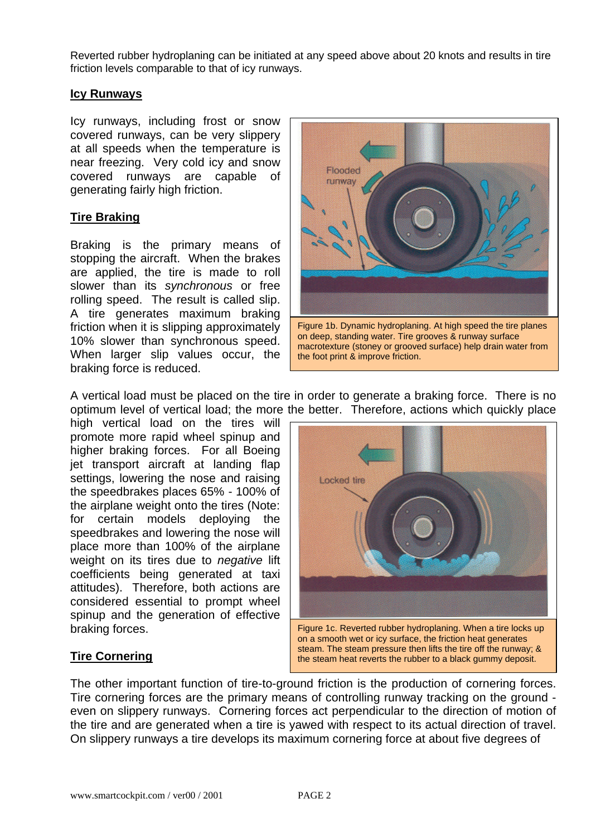Reverted rubber hydroplaning can be initiated at any speed above about 20 knots and results in tire friction levels comparable to that of icy runways.

#### **Icy Runways**

Icy runways, including frost or snow covered runways, can be very slippery at all speeds when the temperature is near freezing. Very cold icy and snow covered runways are capable of generating fairly high friction.

## **Tire Braking**

Braking is the primary means of stopping the aircraft. When the brakes are applied, the tire is made to roll slower than its *synchronous* or free rolling speed. The result is called slip. A tire generates maximum braking friction when it is slipping approximately 10% slower than synchronous speed. When larger slip values occur, the braking force is reduced.



macrotexture (stoney or grooved surface) help drain water from the foot print & improve friction.

A vertical load must be placed on the tire in order to generate a braking force. There is no optimum level of vertical load; the more the better. Therefore, actions which quickly place

high vertical load on the tires will promote more rapid wheel spinup and higher braking forces. For all Boeing jet transport aircraft at landing flap settings, lowering the nose and raising the speedbrakes places 65% - 100% of the airplane weight onto the tires (Note: for certain models deploying the speedbrakes and lowering the nose will place more than 100% of the airplane weight on its tires due to *negative* lift coefficients being generated at taxi attitudes). Therefore, both actions are considered essential to prompt wheel spinup and the generation of effective braking forces.

## **Tire Cornering**



Figure 1c. Reverted rubber hydroplaning. When a tire locks up on a smooth wet or icy surface, the friction heat generates steam. The steam pressure then lifts the tire off the runway; & the steam heat reverts the rubber to a black gummy deposit.

The other important function of tire-to-ground friction is the production of cornering forces. Tire cornering forces are the primary means of controlling runway tracking on the ground even on slippery runways. Cornering forces act perpendicular to the direction of motion of the tire and are generated when a tire is yawed with respect to its actual direction of travel. On slippery runways a tire develops its maximum cornering force at about five degrees of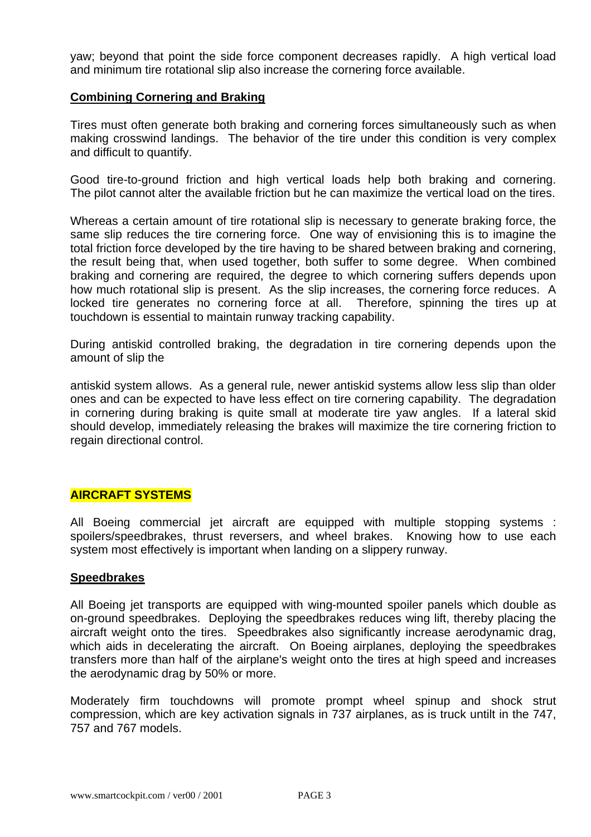yaw; beyond that point the side force component decreases rapidly. A high vertical load and minimum tire rotational slip also increase the cornering force available.

#### **Combining Cornering and Braking**

Tires must often generate both braking and cornering forces simultaneously such as when making crosswind landings. The behavior of the tire under this condition is very complex and difficult to quantify.

Good tire-to-ground friction and high vertical loads help both braking and cornering. The pilot cannot alter the available friction but he can maximize the vertical load on the tires.

Whereas a certain amount of tire rotational slip is necessary to generate braking force, the same slip reduces the tire cornering force. One way of envisioning this is to imagine the total friction force developed by the tire having to be shared between braking and cornering, the result being that, when used together, both suffer to some degree. When combined braking and cornering are required, the degree to which cornering suffers depends upon how much rotational slip is present. As the slip increases, the cornering force reduces. A locked tire generates no cornering force at all. Therefore, spinning the tires up at touchdown is essential to maintain runway tracking capability.

During antiskid controlled braking, the degradation in tire cornering depends upon the amount of slip the

antiskid system allows. As a general rule, newer antiskid systems allow less slip than older ones and can be expected to have less effect on tire cornering capability. The degradation in cornering during braking is quite small at moderate tire yaw angles. If a lateral skid should develop, immediately releasing the brakes will maximize the tire cornering friction to regain directional control.

#### **AIRCRAFT SYSTEMS**

All Boeing commercial jet aircraft are equipped with multiple stopping systems : spoilers/speedbrakes, thrust reversers, and wheel brakes. Knowing how to use each system most effectively is important when landing on a slippery runway.

#### **Speedbrakes**

All Boeing jet transports are equipped with wing-mounted spoiler panels which double as on-ground speedbrakes. Deploying the speedbrakes reduces wing lift, thereby placing the aircraft weight onto the tires. Speedbrakes also significantly increase aerodynamic drag, which aids in decelerating the aircraft. On Boeing airplanes, deploying the speedbrakes transfers more than half of the airplane's weight onto the tires at high speed and increases the aerodynamic drag by 50% or more.

Moderately firm touchdowns will promote prompt wheel spinup and shock strut compression, which are key activation signals in 737 airplanes, as is truck untilt in the 747, 757 and 767 models.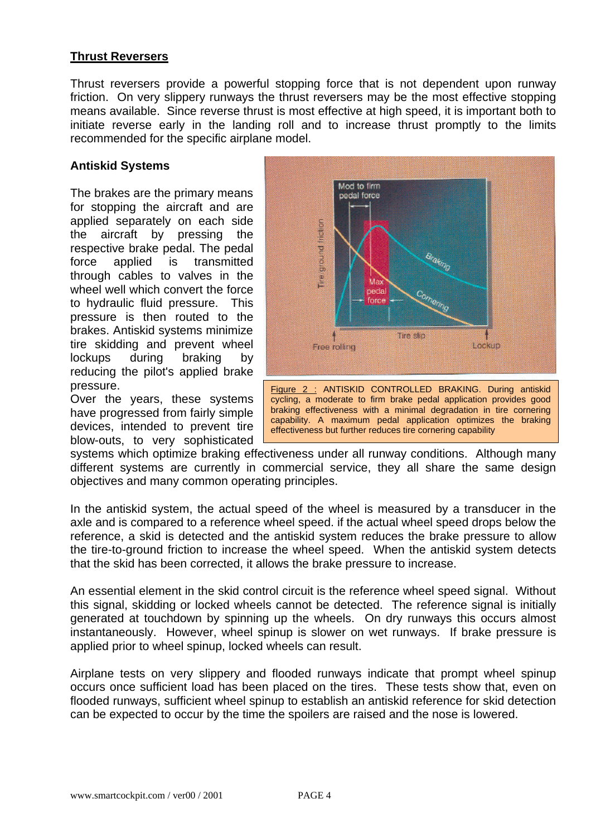## **Thrust Reversers**

Thrust reversers provide a powerful stopping force that is not dependent upon runway friction. On very slippery runways the thrust reversers may be the most effective stopping means available. Since reverse thrust is most effective at high speed, it is important both to initiate reverse early in the landing roll and to increase thrust promptly to the limits recommended for the specific airplane model.

### **Antiskid Systems**

The brakes are the primary means for stopping the aircraft and are applied separately on each side the aircraft by pressing the respective brake pedal. The pedal force applied is transmitted through cables to valves in the wheel well which convert the force to hydraulic fluid pressure. This pressure is then routed to the brakes. Antiskid systems minimize tire skidding and prevent wheel lockups during braking by reducing the pilot's applied brake pressure.

Over the years, these systems have progressed from fairly simple devices, intended to prevent tire blow-outs, to very sophisticated



effectiveness but further reduces tire cornering capability

systems which optimize braking effectiveness under all runway conditions. Although many different systems are currently in commercial service, they all share the same design objectives and many common operating principles.

In the antiskid system, the actual speed of the wheel is measured by a transducer in the axle and is compared to a reference wheel speed. if the actual wheel speed drops below the reference, a skid is detected and the antiskid system reduces the brake pressure to allow the tire-to-ground friction to increase the wheel speed. When the antiskid system detects that the skid has been corrected, it allows the brake pressure to increase.

An essential element in the skid control circuit is the reference wheel speed signal. Without this signal, skidding or locked wheels cannot be detected. The reference signal is initially generated at touchdown by spinning up the wheels. On dry runways this occurs almost instantaneously. However, wheel spinup is slower on wet runways. If brake pressure is applied prior to wheel spinup, locked wheels can result.

Airplane tests on very slippery and flooded runways indicate that prompt wheel spinup occurs once sufficient load has been placed on the tires. These tests show that, even on flooded runways, sufficient wheel spinup to establish an antiskid reference for skid detection can be expected to occur by the time the spoilers are raised and the nose is lowered.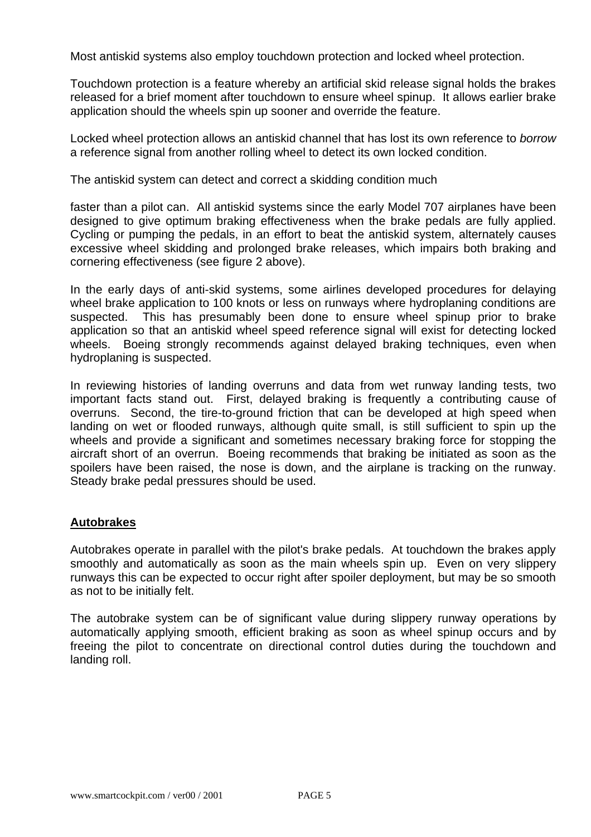Most antiskid systems also employ touchdown protection and locked wheel protection.

Touchdown protection is a feature whereby an artificial skid release signal holds the brakes released for a brief moment after touchdown to ensure wheel spinup. It allows earlier brake application should the wheels spin up sooner and override the feature.

Locked wheel protection allows an antiskid channel that has lost its own reference to *borrow*  a reference signal from another rolling wheel to detect its own locked condition.

The antiskid system can detect and correct a skidding condition much

faster than a pilot can. All antiskid systems since the early Model 707 airplanes have been designed to give optimum braking effectiveness when the brake pedals are fully applied. Cycling or pumping the pedals, in an effort to beat the antiskid system, alternately causes excessive wheel skidding and prolonged brake releases, which impairs both braking and cornering effectiveness (see figure 2 above).

In the early days of anti-skid systems, some airlines developed procedures for delaying wheel brake application to 100 knots or less on runways where hydroplaning conditions are suspected. This has presumably been done to ensure wheel spinup prior to brake application so that an antiskid wheel speed reference signal will exist for detecting locked wheels. Boeing strongly recommends against delayed braking techniques, even when hydroplaning is suspected.

In reviewing histories of landing overruns and data from wet runway landing tests, two important facts stand out. First, delayed braking is frequently a contributing cause of overruns. Second, the tire-to-ground friction that can be developed at high speed when landing on wet or flooded runways, although quite small, is still sufficient to spin up the wheels and provide a significant and sometimes necessary braking force for stopping the aircraft short of an overrun. Boeing recommends that braking be initiated as soon as the spoilers have been raised, the nose is down, and the airplane is tracking on the runway. Steady brake pedal pressures should be used.

#### **Autobrakes**

Autobrakes operate in parallel with the pilot's brake pedals. At touchdown the brakes apply smoothly and automatically as soon as the main wheels spin up. Even on very slippery runways this can be expected to occur right after spoiler deployment, but may be so smooth as not to be initially felt.

The autobrake system can be of significant value during slippery runway operations by automatically applying smooth, efficient braking as soon as wheel spinup occurs and by freeing the pilot to concentrate on directional control duties during the touchdown and landing roll.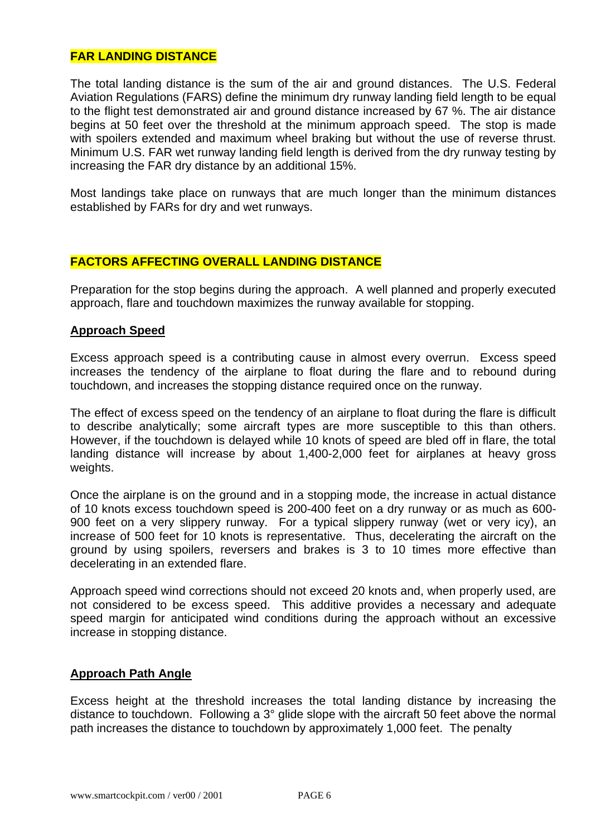#### **FAR LANDING DISTANCE**

The total landing distance is the sum of the air and ground distances. The U.S. Federal Aviation Regulations (FARS) define the minimum dry runway landing field length to be equal to the flight test demonstrated air and ground distance increased by 67 %. The air distance begins at 50 feet over the threshold at the minimum approach speed. The stop is made with spoilers extended and maximum wheel braking but without the use of reverse thrust. Minimum U.S. FAR wet runway landing field length is derived from the dry runway testing by increasing the FAR dry distance by an additional 15%.

Most landings take place on runways that are much longer than the minimum distances established by FARs for dry and wet runways.

#### **FACTORS AFFECTING OVERALL LANDING DISTANCE**

Preparation for the stop begins during the approach. A well planned and properly executed approach, flare and touchdown maximizes the runway available for stopping.

#### **Approach Speed**

Excess approach speed is a contributing cause in almost every overrun. Excess speed increases the tendency of the airplane to float during the flare and to rebound during touchdown, and increases the stopping distance required once on the runway.

The effect of excess speed on the tendency of an airplane to float during the flare is difficult to describe analytically; some aircraft types are more susceptible to this than others. However, if the touchdown is delayed while 10 knots of speed are bled off in flare, the total landing distance will increase by about 1,400-2,000 feet for airplanes at heavy gross weights.

Once the airplane is on the ground and in a stopping mode, the increase in actual distance of 10 knots excess touchdown speed is 200-400 feet on a dry runway or as much as 600- 900 feet on a very slippery runway. For a typical slippery runway (wet or very icy), an increase of 500 feet for 10 knots is representative. Thus, decelerating the aircraft on the ground by using spoilers, reversers and brakes is 3 to 10 times more effective than decelerating in an extended flare.

Approach speed wind corrections should not exceed 20 knots and, when properly used, are not considered to be excess speed. This additive provides a necessary and adequate speed margin for anticipated wind conditions during the approach without an excessive increase in stopping distance.

#### **Approach Path Angle**

Excess height at the threshold increases the total landing distance by increasing the distance to touchdown. Following a 3° glide slope with the aircraft 50 feet above the normal path increases the distance to touchdown by approximately 1,000 feet. The penalty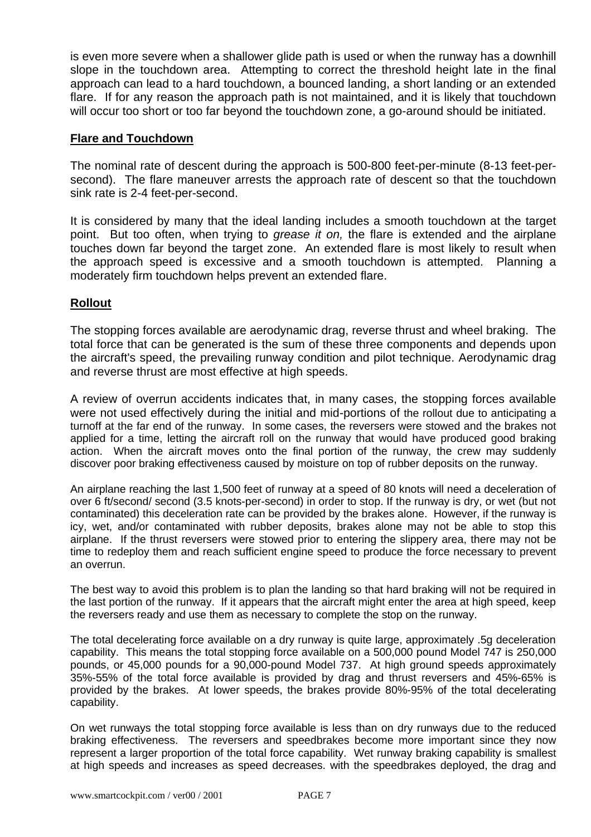is even more severe when a shallower glide path is used or when the runway has a downhill slope in the touchdown area. Attempting to correct the threshold height late in the final approach can lead to a hard touchdown, a bounced landing, a short landing or an extended flare. If for any reason the approach path is not maintained, and it is likely that touchdown will occur too short or too far beyond the touchdown zone, a go-around should be initiated.

#### **Flare and Touchdown**

The nominal rate of descent during the approach is 500-800 feet-per-minute (8-13 feet-persecond). The flare maneuver arrests the approach rate of descent so that the touchdown sink rate is 2-4 feet-per-second.

It is considered by many that the ideal landing includes a smooth touchdown at the target point. But too often, when trying to *grease it on,* the flare is extended and the airplane touches down far beyond the target zone. An extended flare is most likely to result when the approach speed is excessive and a smooth touchdown is attempted. Planning a moderately firm touchdown helps prevent an extended flare.

## **Rollout**

The stopping forces available are aerodynamic drag, reverse thrust and wheel braking. The total force that can be generated is the sum of these three components and depends upon the aircraft's speed, the prevailing runway condition and pilot technique. Aerodynamic drag and reverse thrust are most effective at high speeds.

A review of overrun accidents indicates that, in many cases, the stopping forces available were not used effectively during the initial and mid-portions of the rollout due to anticipating a turnoff at the far end of the runway. In some cases, the reversers were stowed and the brakes not applied for a time, letting the aircraft roll on the runway that would have produced good braking action. When the aircraft moves onto the final portion of the runway, the crew may suddenly discover poor braking effectiveness caused by moisture on top of rubber deposits on the runway.

An airplane reaching the last 1,500 feet of runway at a speed of 80 knots will need a deceleration of over 6 ft/second/ second (3.5 knots-per-second) in order to stop. If the runway is dry, or wet (but not contaminated) this deceleration rate can be provided by the brakes alone. However, if the runway is icy, wet, and/or contaminated with rubber deposits, brakes alone may not be able to stop this airplane. If the thrust reversers were stowed prior to entering the slippery area, there may not be time to redeploy them and reach sufficient engine speed to produce the force necessary to prevent an overrun.

The best way to avoid this problem is to plan the landing so that hard braking will not be required in the last portion of the runway. If it appears that the aircraft might enter the area at high speed, keep the reversers ready and use them as necessary to complete the stop on the runway.

The total decelerating force available on a dry runway is quite large, approximately .5g deceleration capability. This means the total stopping force available on a 500,000 pound Model 747 is 250,000 pounds, or 45,000 pounds for a 90,000-pound Model 737. At high ground speeds approximately 35%-55% of the total force available is provided by drag and thrust reversers and 45%-65% is provided by the brakes. At lower speeds, the brakes provide 80%-95% of the total decelerating capability.

On wet runways the total stopping force available is less than on dry runways due to the reduced braking effectiveness. The reversers and speedbrakes become more important since they now represent a larger proportion of the total force capability. Wet runway braking capability is smallest at high speeds and increases as speed decreases. with the speedbrakes deployed, the drag and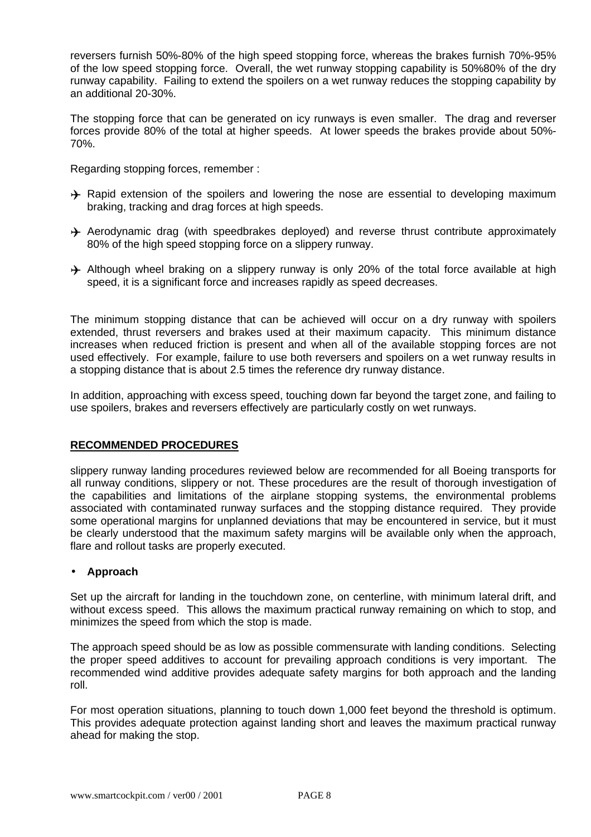reversers furnish 50%-80% of the high speed stopping force, whereas the brakes furnish 70%-95% of the low speed stopping force. Overall, the wet runway stopping capability is 50%80% of the dry runway capability. Failing to extend the spoilers on a wet runway reduces the stopping capability by an additional 20-30%.

The stopping force that can be generated on icy runways is even smaller. The drag and reverser forces provide 80% of the total at higher speeds. At lower speeds the brakes provide about 50%- 70%.

Regarding stopping forces, remember :

- ° Rapid extension of the spoilers and lowering the nose are essential to developing maximum braking, tracking and drag forces at high speeds.
- $\rightarrow$  Aerodynamic drag (with speedbrakes deployed) and reverse thrust contribute approximately 80% of the high speed stopping force on a slippery runway.
- $\rightarrow$  Although wheel braking on a slippery runway is only 20% of the total force available at high speed, it is a significant force and increases rapidly as speed decreases.

The minimum stopping distance that can be achieved will occur on a dry runway with spoilers extended, thrust reversers and brakes used at their maximum capacity. This minimum distance increases when reduced friction is present and when all of the available stopping forces are not used effectively. For example, failure to use both reversers and spoilers on a wet runway results in a stopping distance that is about 2.5 times the reference dry runway distance.

In addition, approaching with excess speed, touching down far beyond the target zone, and failing to use spoilers, brakes and reversers effectively are particularly costly on wet runways.

#### **RECOMMENDED PROCEDURES**

slippery runway landing procedures reviewed below are recommended for all Boeing transports for all runway conditions, slippery or not. These procedures are the result of thorough investigation of the capabilities and limitations of the airplane stopping systems, the environmental problems associated with contaminated runway surfaces and the stopping distance required. They provide some operational margins for unplanned deviations that may be encountered in service, but it must be clearly understood that the maximum safety margins will be available only when the approach, flare and rollout tasks are properly executed.

#### • **Approach**

Set up the aircraft for landing in the touchdown zone, on centerline, with minimum lateral drift, and without excess speed. This allows the maximum practical runway remaining on which to stop, and minimizes the speed from which the stop is made.

The approach speed should be as low as possible commensurate with landing conditions. Selecting the proper speed additives to account for prevailing approach conditions is very important. The recommended wind additive provides adequate safety margins for both approach and the landing roll.

For most operation situations, planning to touch down 1,000 feet beyond the threshold is optimum. This provides adequate protection against landing short and leaves the maximum practical runway ahead for making the stop.